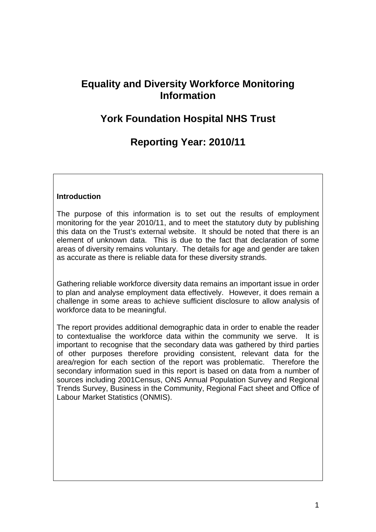# **Equality and Diversity Workforce Monitoring Information**

# **York Foundation Hospital NHS Trust**

# **Reporting Year: 2010/11**

## **Introduction**

The purpose of this information is to set out the results of employment monitoring for the year 2010/11, and to meet the statutory duty by publishing this data on the Trust's external website. It should be noted that there is an element of unknown data. This is due to the fact that declaration of some areas of diversity remains voluntary. The details for age and gender are taken as accurate as there is reliable data for these diversity strands.

Gathering reliable workforce diversity data remains an important issue in order to plan and analyse employment data effectively. However, it does remain a challenge in some areas to achieve sufficient disclosure to allow analysis of workforce data to be meaningful.

The report provides additional demographic data in order to enable the reader to contextualise the workforce data within the community we serve. It is important to recognise that the secondary data was gathered by third parties of other purposes therefore providing consistent, relevant data for the area/region for each section of the report was problematic. Therefore the secondary information sued in this report is based on data from a number of sources including 2001Census, ONS Annual Population Survey and Regional Trends Survey, Business in the Community, Regional Fact sheet and Office of Labour Market Statistics (ONMIS).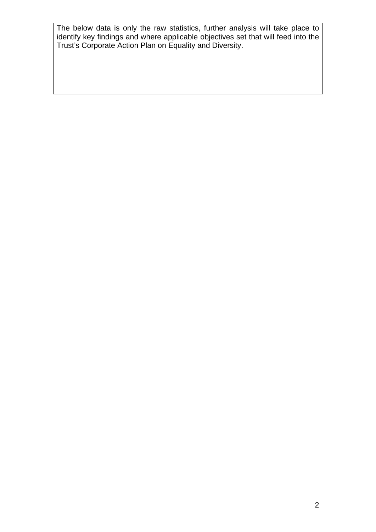The below data is only the raw statistics, further analysis will take place to identify key findings and where applicable objectives set that will feed into the Trust's Corporate Action Plan on Equality and Diversity.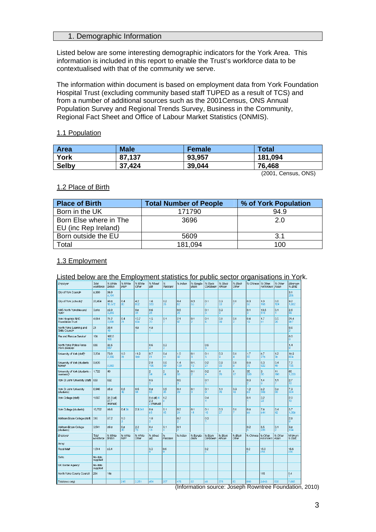### 1. Demographic Information

Listed below are some interesting demographic indicators for the York Area. This information is included in this report to enable the Trust's workforce data to be contextualised with that of the community we serve.

The information within document is based on employment data from York Foundation Hospital Trust (excluding community based staff TUPED as a result of TCS) and from a number of additional sources such as the 2001Census, ONS Annual Population Survey and Regional Trends Survey, Business in the Community, Regional Fact Sheet and Office of Labour Market Statistics (ONMIS).

### 1.1 Population

| Area         | <b>Male</b> | Female | <b>Total</b>        |
|--------------|-------------|--------|---------------------|
| York         | 87,137      | 93,957 | 181,094             |
| <b>Selby</b> | 37,424      | 39,044 | 76.468              |
|              |             |        | (2001, Census, ONS) |

#### 1.2 Place of Birth

| <b>Place of Birth</b>  | <b>Total Number of People</b> | % of York Population |  |  |
|------------------------|-------------------------------|----------------------|--|--|
| Born in the UK         | 171790                        | 94.9                 |  |  |
| Born Else where in The | 3696                          | 2.0                  |  |  |
| EU (inc Rep Ireland)   |                               |                      |  |  |
| Born outside the EU    | 5609                          | 3.1                  |  |  |
| Total                  | 181.094                       | 100                  |  |  |

#### 1.3 Employment

#### Listed below are the Employment statistics for public sector organisations in York.

| Employer                                                 | Total<br>workforce  | % White<br><b>British</b>      | % White<br>Irishh                    | % White<br>Other | % Mixed<br>(all)                     | %<br>Pakistani | % Indian   | % Bangla-<br>deshi | % Black<br>Caribbean | % Black<br>African   | % Black<br>Other | % Chinese | % Other.<br>not known | % Other<br>Asian | Minimum<br>% BME |
|----------------------------------------------------------|---------------------|--------------------------------|--------------------------------------|------------------|--------------------------------------|----------------|------------|--------------------|----------------------|----------------------|------------------|-----------|-----------------------|------------------|------------------|
| City of York Council                                     | 8,360               | 96.9<br>8,104                  |                                      |                  |                                      |                |            |                    |                      |                      |                  |           |                       |                  | 3.1<br>256       |
| City of York (schools) <sup>e</sup>                      | 20.454              | 90.8<br>18,572                 | 0.4<br>80                            | 4.2<br>852       | 1.6<br>333                           | 0.2<br>26      | 0.4<br>82  | 0.3<br>55          | 0.1                  | 0.3<br>53            | 0.1              | 0.3<br>56 | 1.0<br>198            | 0.6<br>124       | 9.2<br>1,882     |
| NHS North Yorkshire and<br>York <sup>4</sup>             | 3,818               | 83.9<br>3.203                  |                                      | 0.8<br>31        | 0.6<br>25                            |                | 0.6<br>25  |                    | 0.1                  | 0.3<br>9             |                  | 0.1<br>3  | 13.6<br>516           | 0.1              | 2.6<br>99        |
| York Hospitals NHS<br><b>Foundation Trust</b>            | 4,614               | 78.2<br>3,608                  | 0.4<br>21                            | 13.7<br>634      | 1.5<br>70                            | 0.1            | 2.1<br>97  | 0.1<br>2           | 0.1<br>6.            | O.8<br>39            | 0.1              | 0.4<br>19 | 1.7<br>81             | 0.5<br>26        | 21.4<br>987      |
| North Yorks Learning and<br>Skills Council <sup>®</sup>  | 21                  | 90.4<br>19                     |                                      | 4.8              | 4.8                                  |                |            |                    |                      |                      |                  |           |                       |                  | 9.6              |
| Fire and Resoue Service!                                 | 108                 | 100.0<br>108                   |                                      |                  |                                      |                |            |                    |                      |                      |                  |           |                       |                  | 0.0<br>n         |
| North Yorks Police Force<br>(York division):             | 666                 | 98.6<br>657                    |                                      |                  | 0.6                                  | 0.3            |            |                    | 0.5                  |                      |                  |           |                       |                  | 1.4              |
| University of York (staff) <sup>6</sup>                  | 3,204               | 73.0<br>2,339                  | 1.0<br>31                            | 11.9<br>380      | 0.7<br>21                            | 0.4<br>11      | 1.0<br>32  | 0.1<br>з           | 0.1<br>з             | 0.3<br>g             | 0.1              | 1.7<br>55 | 8.7<br>278            | 1.2<br>38        | 18.9<br>604      |
| University of York (students<br>home) <sup>y.</sup>      | 9.826               | 8,569                          |                                      |                  | 2.0<br>196                           | 0.6<br>59      | 1.4<br>129 | 0.1.<br>13         | 0.2<br>21            | 0.9<br>93            | 0.1<br>R         | 0.8<br>76 | 6.3<br>622            | 0.4<br>40        | 7.2<br>705       |
| University of York (students –<br>overseas) <sup>*</sup> | 1,722               | 40                             |                                      |                  | $\frac{2}{34}$                       | $\frac{2}{34}$ | 3<br>50    | 0.1                | 0.2                  | $\overline{4}$<br>70 | 1<br>17          | 35<br>520 | 3<br>50               | 11<br>190        | 60<br>1,033      |
| York St John University (staff)                          | 659                 | 632                            |                                      |                  | 0.5                                  |                | 0.5        |                    | 0.1                  |                      |                  | 0.3       | 1.4<br>a              | 1.1              | 2.7<br>18        |
| York St John University<br>(students)                    | 6,946               | 85.8                           | 0.6<br>42                            | 0.5<br>34        | 0.8<br>55                            | 0.5<br>35      | 0.4<br>20  | 0.1                | 0.1<br>۰             | 1.1<br>76            | 0.3<br>18        | 1.2<br>83 | 8.2<br>568            | 0.8<br>60        | 7.3<br>504       |
| York College (staff)                                     | 1.097               | 98.3 (all)<br>97.7<br>(manual) |                                      |                  | $0.4$ (all) $4$<br>2.3<br>2 (manual) | 1.2            |            |                    | 0.4                  |                      |                  | 0.1       | 3.2<br>33             |                  | 2.0<br>18        |
| York College (students)                                  | 10,752              | 86.6                           | 0.438                                | 2.3241           | 0.8<br>86                            | 0.1<br>15      | 0.2<br>24  | 0.1<br>14          | 0.1<br>15            | 0.3<br>27            | 0.1              | 0.8<br>88 | 7.8<br>844            | 0.4<br>42        | 5.7<br>1,068     |
| Askham Bryan College (staff)                             | 316                 | 97.2                           | 1.0                                  |                  | 1.0                                  |                | 0.7        |                    | 0.3                  |                      |                  |           |                       |                  | 28               |
| Askham Bryan College<br>(students)                       | 3.541               | 89.8                           | O.8<br>30                            | 2.2<br>78        | 0.4<br>13                            | 0.1            | 0.1        |                    |                      |                      |                  | 0.2       | 6.5<br>226            | 0.1              | 38<br>134        |
| Employer                                                 | Total<br>workforce  | % White<br><b>British</b>      | % White<br><i>Irish</i> <sup>b</sup> | % White<br>Other | % Mixed<br>(a  )                     | %<br>Pakistani | % Indian   | % Bangla-<br>deshi | % Black<br>Caribbean | % Black<br>African   | % Black<br>Other | % Chinese | % Other.<br>not known | % Other<br>Asian | Minimum<br>% BME |
| Army                                                     |                     |                                |                                      |                  |                                      |                |            |                    |                      |                      |                  |           |                       |                  |                  |
| Royal Mal <sup>k</sup>                                   | 1,514               | 83.4                           |                                      |                  | 0.3                                  | 0.6            |            |                    | 0.2                  |                      |                  | 0.2       | 15.0<br>218           |                  | 15.6<br>23R      |
| Defra                                                    | No data<br>supplied |                                |                                      |                  |                                      |                |            |                    |                      |                      |                  |           |                       |                  |                  |
| UK Border Agency                                         | No data<br>supplied |                                |                                      |                  |                                      |                |            |                    |                      |                      |                  |           |                       |                  |                  |
| North Yorks County Council                               | 264                 | 148                            |                                      |                  |                                      |                |            |                    |                      |                      |                  |           | 115                   |                  | 0.4              |
| Total (nos only)                                         |                     |                                | 245                                  | 2,251            | 354                                  | 207            | 475        | 92                 | 80                   | 376                  | 63               | 910       | 3.643                 | 530              | 7,565            |

(Information source: Joseph Rowntree Foundation, 2010)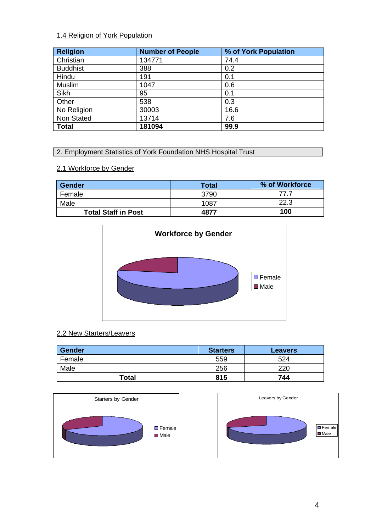# 1.4 Religion of York Population

| <b>Religion</b> | <b>Number of People</b> | % of York Population |
|-----------------|-------------------------|----------------------|
| Christian       | 134771                  | 74.4                 |
| <b>Buddhist</b> | 388                     | 0.2                  |
| Hindu           | 191                     | 0.1                  |
| Muslim          | 1047                    | 0.6                  |
| <b>Sikh</b>     | 95                      | 0.1                  |
| Other           | 538                     | 0.3                  |
| No Religion     | 30003                   | 16.6                 |
| Non Stated      | 13714                   | 7.6                  |
| <b>Total</b>    | 181094                  | 99.9                 |

## 2. Employment Statistics of York Foundation NHS Hospital Trust

# 2.1 Workforce by Gender

| <b>Gender</b>              | <b>Total</b> | % of Workforce |
|----------------------------|--------------|----------------|
| Female                     | 3790         | 77 7           |
| Male                       | 1087         | 22.3           |
| <b>Total Staff in Post</b> | 4877         | 100            |



# 2.2 New Starters/Leavers

| <b>Gender</b> | <b>Starters</b> | <b>Leavers</b> |
|---------------|-----------------|----------------|
| Female        | 559             | 524            |
| Male          | 256             | 220            |
| <b>Total</b>  | 815             | 744            |



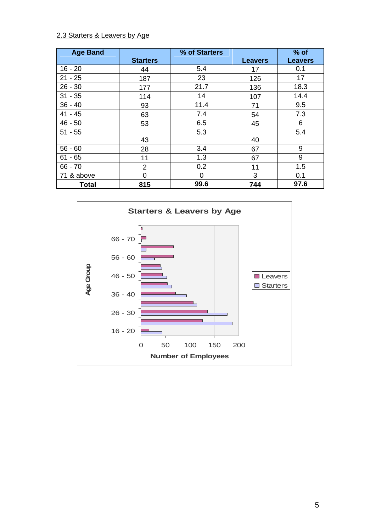# 2.3 Starters & Leavers by Age

| <b>Age Band</b> |                 | % of Starters |                | $%$ of         |
|-----------------|-----------------|---------------|----------------|----------------|
|                 | <b>Starters</b> |               | <b>Leavers</b> | <b>Leavers</b> |
| $16 - 20$       | 44              | 5.4           | 17             | 0.1            |
| $21 - 25$       | 187             | 23            | 126            | 17             |
| $26 - 30$       | 177             | 21.7          | 136            | 18.3           |
| $31 - 35$       | 114             | 14            | 107            | 14.4           |
| $36 - 40$       | 93              | 11.4          | 71             | 9.5            |
| $41 - 45$       | 63              | 7.4           | 54             | 7.3            |
| $46 - 50$       | 53              | 6.5           | 45             | 6              |
| $51 - 55$       |                 | 5.3           |                | 5.4            |
|                 | 43              |               | 40             |                |
| $56 - 60$       | 28              | 3.4           | 67             | 9              |
| $61 - 65$       | 11              | 1.3           | 67             | 9              |
| $66 - 70$       | $\overline{2}$  | 0.2           | 11             | 1.5            |
| 71 & above      | $\Omega$        | 0             | 3              | 0.1            |
| <b>Total</b>    | 815             | 99.6          | 744            | 97.6           |

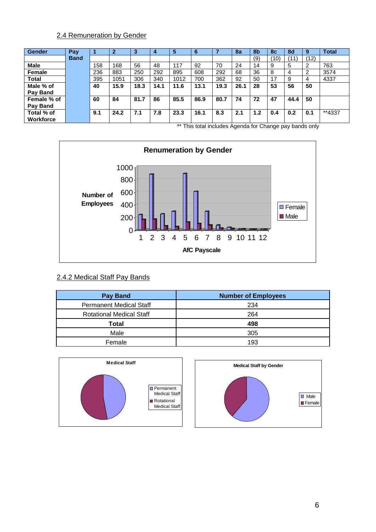# 2.4 Remuneration by Gender

| <b>Gender</b> | Pay         |     | 2    |      |      | 5    | -lo  |      | 8a   | 8 <sub>b</sub> | <b>8c</b> | 8d   | 9    | <b>Total</b> |
|---------------|-------------|-----|------|------|------|------|------|------|------|----------------|-----------|------|------|--------------|
|               | <b>Band</b> |     |      |      |      |      |      |      |      | (9)            | (10)      | (11) | (12) |              |
| <b>Male</b>   |             | 158 | 168  | 56   | 48   | 117  | 92   | 70   | 24   | 14             | 9         | 5    | ົ    | 763          |
| Female        |             | 236 | 883  | 250  | 292  | 895  | 608  | 292  | 68   | 36             | 8         | 4    | າ    | 3574         |
| Total         |             | 395 | 1051 | 306  | 340  | 1012 | 700  | 362  | 92   | 50             | 17        | 9    | 4    | 4337         |
| Male % of     |             | 40  | 15.9 | 18.3 | 14.1 | 11.6 | 13.1 | 19.3 | 26.1 | 28             | 53        | 56   | 50   |              |
| Pay Band      |             |     |      |      |      |      |      |      |      |                |           |      |      |              |
| Female % of   |             | 60  | 84   | 81.7 | 86   | 85.5 | 86.9 | 80.7 | 74   | 72             | 47        | 44.4 | 50   |              |
| Pay Band      |             |     |      |      |      |      |      |      |      |                |           |      |      |              |
| Total % of    |             | 9.1 | 24.2 | 7.1  | 7.8  | 23.3 | 16.1 | 8.3  | 2.1  | 1.2            | 0.4       | 0.2  | 0.1  | **4337       |
| Workforce     |             |     |      |      |      |      |      |      |      |                |           |      |      |              |

\*\* This total includes Agenda for Change pay bands only



### 2.4.2 Medical Staff Pay Bands

| Pay Band                        | <b>Number of Employees</b> |
|---------------------------------|----------------------------|
| <b>Permanent Medical Staff</b>  | 234                        |
| <b>Rotational Medical Staff</b> | 264                        |
| Total                           | 498                        |
| Male                            | 305                        |
| Female                          | 193                        |



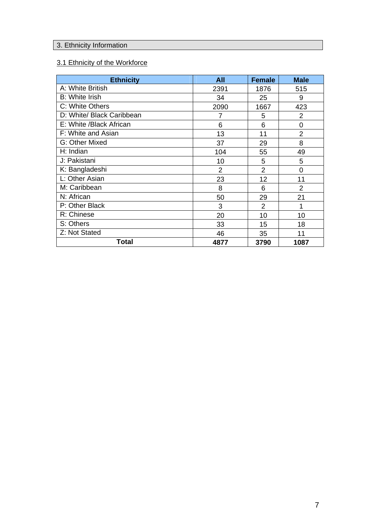# 3. Ethnicity Information

# 3.1 Ethnicity of the Workforce

| <b>Ethnicity</b>          | <b>All</b>     | <b>Female</b>  | <b>Male</b>    |
|---------------------------|----------------|----------------|----------------|
| A: White British          | 2391           | 1876           | 515            |
| <b>B:</b> White Irish     | 34             | 25             | 9              |
| C: White Others           | 2090           | 1667           | 423            |
| D: White/ Black Caribbean | 7              | 5              | $\overline{2}$ |
| E: White /Black African   | 6              | 6              | 0              |
| F: White and Asian        | 13             | 11             | $\overline{2}$ |
| G: Other Mixed            | 37             | 29             | 8              |
| H: Indian                 | 104            | 55             | 49             |
| J: Pakistani              | 10             | 5              | 5              |
| K: Bangladeshi            | $\overline{2}$ | $\overline{2}$ | $\overline{0}$ |
| L: Other Asian            | 23             | 12             | 11             |
| M: Caribbean              | 8              | 6              | 2              |
| N: African                | 50             | 29             | 21             |
| P: Other Black            | 3              | $\overline{2}$ | 1              |
| R: Chinese                | 20             | 10             | 10             |
| S: Others                 | 33             | 15             | 18             |
| Z: Not Stated             | 46             | 35             | 11             |
| Total                     | 4877           | 3790           | 1087           |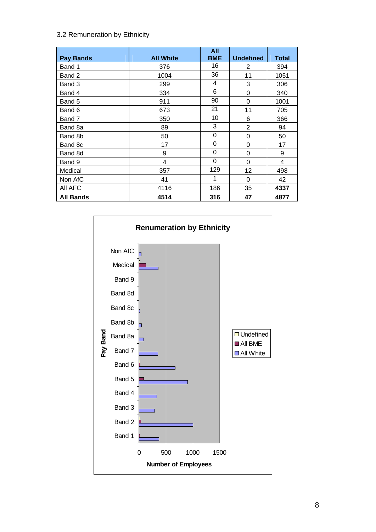## 3.2 Remuneration by Ethnicity

| <b>Pay Bands</b> | <b>All White</b> | <b>All</b><br><b>BME</b> | <b>Undefined</b> | <b>Total</b> |
|------------------|------------------|--------------------------|------------------|--------------|
| Band 1           | 376              | 16                       | 2                | 394          |
| Band 2           | 1004             | 36                       | 11               | 1051         |
| Band 3           | 299              | 4                        | 3                | 306          |
| Band 4           | 334              | 6                        | 0                | 340          |
| Band 5           | 911              | 90                       | 0                | 1001         |
| Band 6           | 673              | 21                       | 11               | 705          |
| Band 7           | 350              | 10                       | 6                | 366          |
| Band 8a          | 89               | 3                        | $\overline{2}$   | 94           |
| Band 8b          | 50               | 0                        | 0                | 50           |
| Band 8c          | 17               | 0                        | 0                | 17           |
| Band 8d          | 9                | 0                        | 0                | 9            |
| Band 9           | 4                | 0                        | 0                | 4            |
| Medical          | 357              | 129                      | 12               | 498          |
| Non AfC          | 41               | 1                        | 0                | 42           |
| All AFC          | 4116             | 186                      | 35               | 4337         |
| <b>All Bands</b> | 4514             | 316                      | 47               | 4877         |

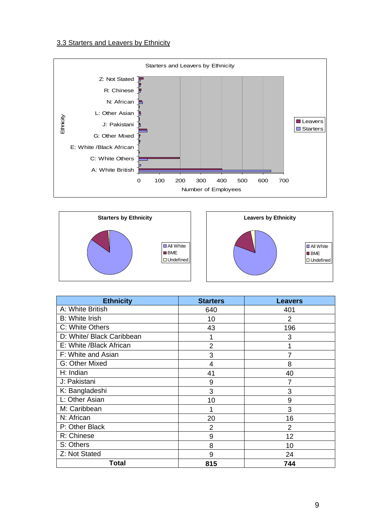## 3.3 Starters and Leavers by Ethnicity







| <b>Ethnicity</b>          | <b>Starters</b> | <b>Leavers</b> |
|---------------------------|-----------------|----------------|
| A: White British          | 640             | 401            |
| <b>B:</b> White Irish     | 10              | 2              |
| C: White Others           | 43              | 196            |
| D: White/ Black Caribbean |                 | 3              |
| E: White /Black African   | $\overline{2}$  |                |
| F: White and Asian        | 3               | 7              |
| G: Other Mixed            | 4               | 8              |
| H: Indian                 | 41              | 40             |
| J: Pakistani              | 9               |                |
| K: Bangladeshi            | 3               | 3              |
| L: Other Asian            | 10              | 9              |
| M: Caribbean              |                 | 3              |
| N: African                | 20              | 16             |
| P: Other Black            | $\overline{2}$  | $\overline{2}$ |
| R: Chinese                | 9               | 12             |
| S: Others                 | 8               | 10             |
| Z: Not Stated             | 9               | 24             |
| Total                     | 815             | 744            |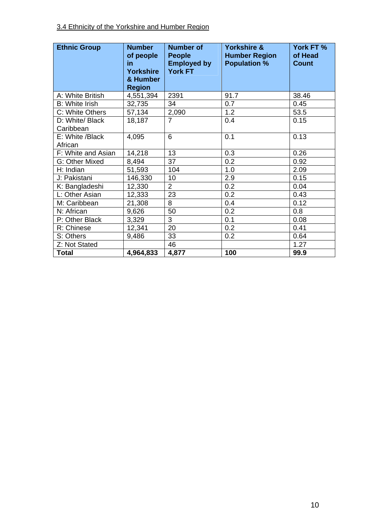| <b>Ethnic Group</b>          | <b>Number</b><br>of people<br>in<br>Yorkshire<br>& Humber<br><b>Region</b> | <b>Number of</b><br><b>People</b><br><b>Employed by</b><br><b>York FT</b> | <b>Yorkshire &amp;</b><br><b>Humber Region</b><br><b>Population %</b> | York FT %<br>of Head<br><b>Count</b> |
|------------------------------|----------------------------------------------------------------------------|---------------------------------------------------------------------------|-----------------------------------------------------------------------|--------------------------------------|
| A: White British             | 4,551,394                                                                  | 2391                                                                      | 91.7                                                                  | 38.46                                |
| <b>B:</b> White Irish        | 32,735                                                                     | 34                                                                        | 0.7                                                                   | 0.45                                 |
| C: White Others              | 57,134                                                                     | 2,090                                                                     | 1.2                                                                   | 53.5                                 |
| D: White/ Black<br>Caribbean | 18,187                                                                     | $\overline{7}$                                                            | 0.4                                                                   | 0.15                                 |
| E: White /Black              | 4,095                                                                      | 6                                                                         | 0.1                                                                   | 0.13                                 |
| African                      |                                                                            |                                                                           |                                                                       |                                      |
| F: White and Asian           | 14,218                                                                     | 13                                                                        | 0.3                                                                   | 0.26                                 |
| G: Other Mixed               | 8,494                                                                      | 37                                                                        | 0.2                                                                   | 0.92                                 |
| H: Indian                    | 51,593                                                                     | 104                                                                       | 1.0                                                                   | 2.09                                 |
| J: Pakistani                 | 146,330                                                                    | 10                                                                        | 2.9                                                                   | 0.15                                 |
| K: Bangladeshi               | 12,330                                                                     | $\overline{2}$                                                            | 0.2                                                                   | 0.04                                 |
| L: Other Asian               | 12,333                                                                     | 23                                                                        | 0.2                                                                   | 0.43                                 |
| M: Caribbean                 | 21,308                                                                     | 8                                                                         | 0.4                                                                   | 0.12                                 |
| N: African                   | 9,626                                                                      | 50                                                                        | 0.2                                                                   | 0.8                                  |
| P: Other Black               | 3,329                                                                      | $\overline{3}$                                                            | 0.1                                                                   | 0.08                                 |
| R: Chinese                   | 12,341                                                                     | 20                                                                        | 0.2                                                                   | 0.41                                 |
| S: Others                    | 9,486                                                                      | 33                                                                        | 0.2                                                                   | 0.64                                 |
| Z: Not Stated                |                                                                            | 46                                                                        |                                                                       | 1.27                                 |
| <b>Total</b>                 | 4,964,833                                                                  | 4,877                                                                     | 100                                                                   | 99.9                                 |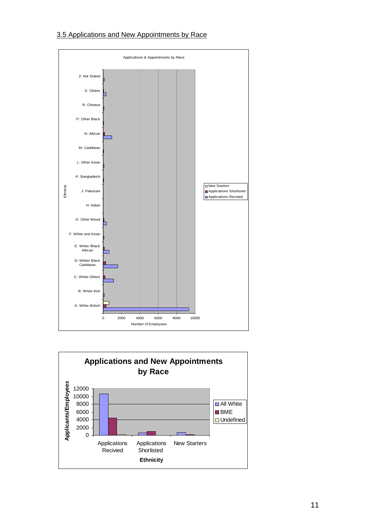# 3.5 Applications and New Appointments by Race



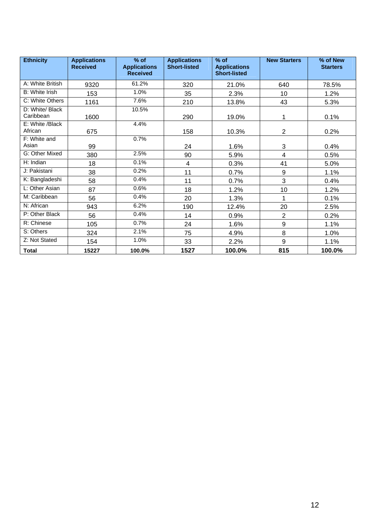| <b>Ethnicity</b>             | <b>Applications</b><br><b>Received</b> | $%$ of<br><b>Applications</b><br><b>Received</b> | <b>Applications</b><br><b>Short-listed</b> | $%$ of<br><b>Applications</b><br><b>Short-listed</b> | <b>New Starters</b> | $%$ of New<br><b>Starters</b> |
|------------------------------|----------------------------------------|--------------------------------------------------|--------------------------------------------|------------------------------------------------------|---------------------|-------------------------------|
| A: White British             | 9320                                   | 61.2%                                            | 320                                        | 21.0%                                                | 640                 | 78.5%                         |
| B: White Irish               | 153                                    | 1.0%                                             | 35                                         | 2.3%                                                 | 10                  | 1.2%                          |
| C: White Others              | 1161                                   | 7.6%                                             | 210                                        | 13.8%                                                | 43                  | 5.3%                          |
| D: White/ Black<br>Caribbean | 1600                                   | 10.5%                                            | 290                                        | 19.0%                                                | 1                   | 0.1%                          |
| E: White /Black<br>African   | 675                                    | 4.4%                                             | 158                                        | 10.3%                                                | $\overline{2}$      | 0.2%                          |
| F: White and<br>Asian        | 99                                     | 0.7%                                             | 24                                         | 1.6%                                                 | 3                   | 0.4%                          |
| G: Other Mixed               | 380                                    | 2.5%                                             | 90                                         | 5.9%                                                 | 4                   | 0.5%                          |
| H: Indian                    | 18                                     | 0.1%                                             | 4                                          | 0.3%                                                 | 41                  | 5.0%                          |
| J: Pakistani                 | 38                                     | 0.2%                                             | 11                                         | 0.7%                                                 | 9                   | 1.1%                          |
| K: Bangladeshi               | 58                                     | 0.4%                                             | 11                                         | 0.7%                                                 | 3                   | 0.4%                          |
| L: Other Asian               | 87                                     | 0.6%                                             | 18                                         | 1.2%                                                 | 10                  | 1.2%                          |
| M: Caribbean                 | 56                                     | 0.4%                                             | 20                                         | 1.3%                                                 | 1                   | 0.1%                          |
| N: African                   | 943                                    | 6.2%                                             | 190                                        | 12.4%                                                | 20                  | 2.5%                          |
| P: Other Black               | 56                                     | 0.4%                                             | 14                                         | 0.9%                                                 | $\overline{2}$      | 0.2%                          |
| R: Chinese                   | 105                                    | 0.7%                                             | 24                                         | 1.6%                                                 | 9                   | 1.1%                          |
| S: Others                    | 324                                    | 2.1%                                             | 75                                         | 4.9%                                                 | 8                   | 1.0%                          |
| Z: Not Stated                | 154                                    | 1.0%                                             | 33                                         | 2.2%                                                 | 9                   | 1.1%                          |
| <b>Total</b>                 | 15227                                  | 100.0%                                           | 1527                                       | 100.0%                                               | 815                 | 100.0%                        |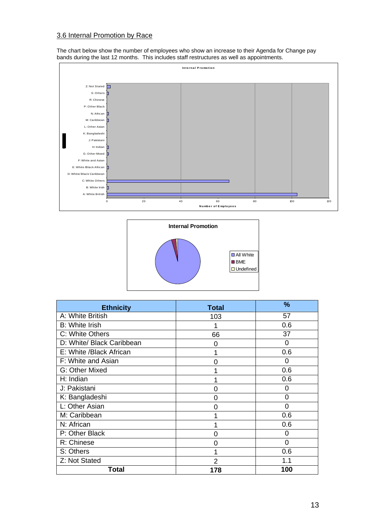# 3.6 Internal Promotion by Race

The chart below show the number of employees who show an increase to their Agenda for Change pay bands during the last 12 months. This includes staff restructures as well as appointments.





| <b>Ethnicity</b>          | <b>Total</b> | $\frac{9}{6}$ |
|---------------------------|--------------|---------------|
| A: White British          | 103          | 57            |
| <b>B:</b> White Irish     |              | 0.6           |
| C: White Others           | 66           | 37            |
| D: White/ Black Caribbean | O            | 0             |
| E: White /Black African   |              | 0.6           |
| F: White and Asian        | 0            | 0             |
| G: Other Mixed            |              | 0.6           |
| H: Indian                 |              | 0.6           |
| J: Pakistani              | 0            | 0             |
| K: Bangladeshi            | 0            | 0             |
| L: Other Asian            | 0            | 0             |
| M: Caribbean              |              | 0.6           |
| N: African                |              | 0.6           |
| P: Other Black            | ∩            | 0             |
| R: Chinese                | O            | 0             |
| S: Others                 |              | 0.6           |
| Z: Not Stated             | 2            | 1.1           |
| Total                     | 178          | 100           |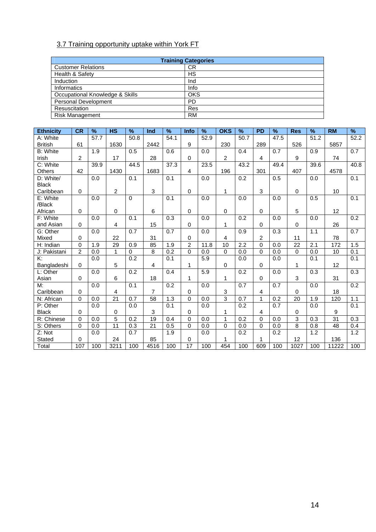# 3.7 Training opportunity uptake within York FT

| <b>Training Categories</b>      |            |  |  |  |
|---------------------------------|------------|--|--|--|
| <b>Customer Relations</b>       | СR         |  |  |  |
| Health & Safety                 | HS         |  |  |  |
| Induction                       | Ind        |  |  |  |
| <b>Informatics</b>              | Info       |  |  |  |
| Occupational Knowledge & Skills | <b>OKS</b> |  |  |  |
| <b>Personal Development</b>     | <b>PD</b>  |  |  |  |
| Resuscitation                   | Res        |  |  |  |
| <b>Risk Management</b>          | <b>RM</b>  |  |  |  |

| <b>Ethnicity</b>     | <b>CR</b>      | %    | <b>HS</b>      | %        | Ind             | %    | <b>Info</b> | %    | <b>OKS</b>     | $\frac{9}{6}$     | <b>PD</b>      | %    | <b>Res</b> | %                 | <b>RM</b> | $\overline{\mathcal{C}}$ |
|----------------------|----------------|------|----------------|----------|-----------------|------|-------------|------|----------------|-------------------|----------------|------|------------|-------------------|-----------|--------------------------|
| A: White             |                | 57.7 |                | 50.8     |                 | 54.1 |             | 52.9 |                | $\overline{50.7}$ |                | 47.5 |            | $\overline{51.2}$ |           | 52.2                     |
| <b>British</b>       | 61             |      | 1630           |          | 2442            |      | 9           |      | 230            |                   | 289            |      | 526        |                   | 5857      |                          |
| <b>B: White</b>      |                | 1.9  |                | 0.5      |                 | 0.6  |             | 0.0  |                | 0.4               |                | 0.7  |            | 0.9               |           | 0.7                      |
| Irish                | $\overline{c}$ |      | 17             |          | 28              |      | $\Omega$    |      | $\overline{c}$ |                   | $\overline{4}$ |      | 9          |                   | 74        |                          |
| C: White             |                | 39.9 |                | 44.5     |                 | 37.3 |             | 23.5 |                | 43.2              |                | 49.4 |            | 39.6              |           | 40.8                     |
| Others               | 42             |      | 1430           |          | 1683            |      | 4           |      | 196            |                   | 301            |      | 407        |                   | 4578      |                          |
| D: White/            |                | 0.0  |                | 0.1      |                 | 0.1  |             | 0.0  |                | 0.2               |                | 0.5  |            | 0.0               |           | 0.1                      |
| <b>Black</b>         |                |      |                |          |                 |      |             |      |                |                   |                |      |            |                   |           |                          |
| Caribbean            | 0              |      | $\overline{c}$ |          | $\mathbf{3}$    |      | $\Omega$    |      | 1              |                   | 3              |      | 0          |                   | 10        |                          |
| E: White             |                | 0.0  |                | 0        |                 | 0.1  |             | 0.0  |                | 0.0               |                | 0.0  |            | 0.5               |           | 0.1                      |
| /Black               |                |      |                |          |                 |      |             |      |                |                   |                |      |            |                   |           |                          |
| African              | 0              |      | 0              |          | 6               |      | $\Omega$    |      | 0              |                   | $\Omega$       |      | 5          |                   | 12        |                          |
| F: White             |                | 0.0  |                | 0.1      |                 | 0.3  |             | 0.0  |                | 0.2               |                | 0.0  |            | 0.0               |           | 0.2                      |
| and Asian            | 0              |      | 4              |          | 15              |      | $\Omega$    |      | 1              |                   | $\Omega$       |      | $\Omega$   |                   | 26        |                          |
| G: Other             |                | 0.0  |                | 0.7      |                 | 0.7  |             | 0.0  |                | 0.9               |                | 0.3  |            | 1.1               |           | 0.7                      |
| Mixed                | 0              |      | 22             |          | 31              |      | 0           |      | 4              |                   | 2              |      | 11         |                   | 78        |                          |
| H: Indian            | 0              | 1.9  | 29             | 0.9      | 85              | 1.9  | 2           | 11.8 | 10             | 2.2               | $\Omega$       | 0.0  | 22         | 2.1               | 172       | 1.5                      |
| J: Pakistani         | $\overline{2}$ | 0.0  | $\mathbf{1}$   | $\Omega$ | 8               | 0.2  | $\Omega$    | 0.0  | 0              | 0.0               | $\Omega$       | 0.0  | $\Omega$   | 0.0               | 10        | 0.1                      |
| К:                   |                | 0.0  |                | 0.2      |                 | 0.1  |             | 5.9  |                | 0.0               |                | 0.0  |            | 0.1               |           | 0.1                      |
| Bangladeshi          | $\Omega$       |      | 5              |          | 4               |      | 1           |      | 0              |                   | 0              |      | 1          |                   | 12        |                          |
| L: Other             |                | 0.0  |                | 0.2      |                 | 0.4  |             | 5.9  |                | 0.2               |                | 0.0  |            | 0.3               |           | 0.3                      |
| Asian                | 0              |      | 6              |          | 18              |      | 1           |      | 1              |                   | $\Omega$       |      | 3          |                   | 31        |                          |
| M:                   |                | 0.0  |                | 0.1      |                 | 0.2  |             | 0.0  |                | 0.7               |                | 0.7  |            | 0.0               |           | 0.2                      |
| Caribbean            | 0              |      | 4              |          | 7               |      | 0           |      | 3              |                   | 4              |      | 0          |                   | 18        |                          |
| N: African           | $\mathbf 0$    | 0.0  | 21             | 0.7      | 58              | 1.3  | $\Omega$    | 0.0  | $\overline{3}$ | 0.7               | 1              | 0.2  | 20         | 1.9               | 120       | 1.1                      |
| P: Other             |                | 0.0  |                | 0.0      |                 | 0.1  |             | 0.0  |                | 0.2               |                | 0.7  |            | 0.0               |           | 0.1                      |
| <b>Black</b>         | 0              |      | 0              |          | 3               |      | $\mathbf 0$ |      | 1              |                   | 4              |      | $\Omega$   |                   | 9         |                          |
| R: Chinese           | 0              | 0.0  | $\overline{5}$ | 0.2      | $\overline{19}$ | 0.4  | $\Omega$    | 0.0  | $\mathbf{1}$   | 0.2               | $\Omega$       | 0.0  | 3          | 0.3               | 31        | 0.3                      |
| S: Others            | $\Omega$       | 0.0  | 11             | 0.3      | 21              | 0.5  | $\Omega$    | 0.0  | $\Omega$       | 0.0               | $\Omega$       | 0.0  | 8          | 0.8               | 48        | 0.4                      |
| $\overline{Z}$ : Not |                | 0.0  |                | 0.7      |                 | 1.9  |             | 0.0  |                | 0.2               |                | 0.2  |            | 1.2               |           | 1.2                      |
| Stated               | 0              |      | 24             |          | 85              |      | 0           |      | 1              |                   | 1              |      | 12         |                   | 136       |                          |
| Total                | 107            | 100  | 3211           | 100      | 4516            | 100  | 17          | 100  | 454            | 100               | 609            | 100  | 1027       | 100               | 11222     | 100                      |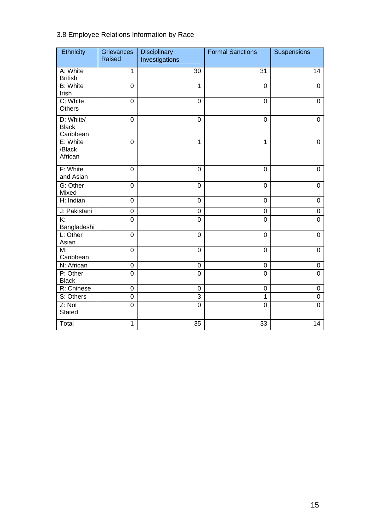# 3.8 Employee Relations Information by Race

| Ethnicity                              | Grievances<br>Raised | <b>Disciplinary</b><br>Investigations | <b>Formal Sanctions</b> | Suspensions      |
|----------------------------------------|----------------------|---------------------------------------|-------------------------|------------------|
|                                        |                      |                                       |                         |                  |
| A: White<br><b>British</b>             | $\mathbf{1}$         | 30                                    | 31                      | 14               |
| <b>B: White</b><br>Irish               | 0                    | $\mathbf{1}$                          | $\mathbf 0$             | $\mathbf 0$      |
| C: White<br><b>Others</b>              | $\boldsymbol{0}$     | $\mathbf 0$                           | $\mathbf 0$             | 0                |
| D: White/<br><b>Black</b><br>Caribbean | $\mathbf 0$          | 0                                     | $\mathbf 0$             | 0                |
| E: White<br>/Black<br>African          | $\mathbf 0$          | $\mathbf{1}$                          | 1                       | 0                |
| F: White<br>and Asian                  | $\mathbf 0$          | $\mathbf 0$                           | $\mathbf 0$             | $\mathbf 0$      |
| G: Other<br>Mixed                      | $\mathbf 0$          | $\mathbf 0$                           | $\overline{0}$          | $\mathbf 0$      |
| H: Indian                              | $\mathbf 0$          | $\mathbf 0$                           | $\mathbf 0$             | 0                |
| J: Pakistani                           | 0                    | $\mathsf 0$                           | $\boldsymbol{0}$        | $\boldsymbol{0}$ |
| $\overline{K}$<br>Bangladeshi          | $\overline{0}$       | $\overline{0}$                        | $\overline{0}$          | $\overline{0}$   |
| L: Other<br>Asian                      | $\mathbf 0$          | $\mathbf 0$                           | $\overline{0}$          | $\mathbf 0$      |
| M:<br>Caribbean                        | $\mathbf 0$          | $\mathbf 0$                           | $\overline{0}$          | $\mathbf 0$      |
| N: African                             | 0                    | $\mathsf 0$                           | $\mathbf 0$             | 0                |
| P: Other<br><b>Black</b>               | $\overline{0}$       | $\mathbf 0$                           | $\mathbf 0$             | $\overline{0}$   |
| R: Chinese                             | $\mathbf 0$          | $\mathbf 0$                           | $\mathbf 0$             | 0                |
| S: Others                              | $\mathbf 0$          | 3                                     | 1                       | $\mathbf 0$      |
| Z: Not<br><b>Stated</b>                | $\overline{0}$       | $\overline{0}$                        | $\overline{0}$          | $\overline{0}$   |
| Total                                  | 1                    | $\overline{35}$                       | 33                      | $\overline{14}$  |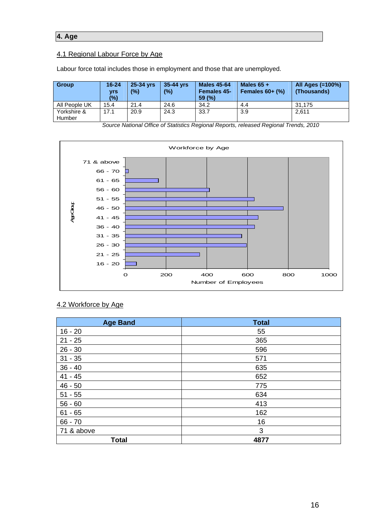# **4. Age**

### 4.1 Regional Labour Force by Age

Labour force total includes those in employment and those that are unemployed.

| <b>Group</b>          | $16 - 24$<br><b>Vrs</b><br>(%) | 25-34 yrs<br>(%) | 35-44 vrs<br>(%) | <b>Males 45-64</b><br><b>Females 45-</b><br>59(%) | Males $65 +$<br>Females $60+$ $%$ ) | All Ages (=100%)<br>(Thousands) |
|-----------------------|--------------------------------|------------------|------------------|---------------------------------------------------|-------------------------------------|---------------------------------|
| All People UK         | 15.4                           | 21.4             | 24.6             | 34.2                                              | 4.4                                 | 31.175                          |
| Yorkshire &<br>Humber | 17.1                           | 20.9             | 24.3             | 33.7                                              | 3.9                                 | 2.611                           |

Workforce by Age 71 & above 66 - 70 61 - 65 56 - 60 51 - 55 **FOOGLE** Age Group 46 - 50 41 - 45 36 - 40 31 - 35 26 - 30 21 - 25 16 - 20 0 200 400 600 800 1000 Number of Employees

*Source National Office of Statistics Regional Reports, released Regional Trends, 2010*

## 4.2 Workforce by Age

| <b>Age Band</b> | <b>Total</b> |
|-----------------|--------------|
| $16 - 20$       | 55           |
| $21 - 25$       | 365          |
| $26 - 30$       | 596          |
| $31 - 35$       | 571          |
| $36 - 40$       | 635          |
| $41 - 45$       | 652          |
| $46 - 50$       | 775          |
| $51 - 55$       | 634          |
| $56 - 60$       | 413          |
| $61 - 65$       | 162          |
| $66 - 70$       | 16           |
| 71 & above      | 3            |
| <b>Total</b>    | 4877         |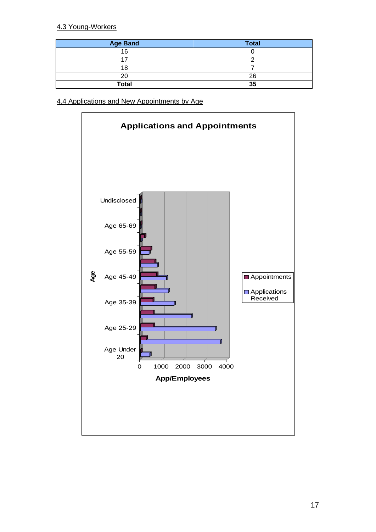### 4.3 Young-Workers

| <b>Age Band</b> | <b>Total</b> |
|-----------------|--------------|
| 16              |              |
|                 |              |
|                 |              |
| 20              | 26           |
| <b>Total</b>    | 35           |

4.4 Applications and New Appointments by Age

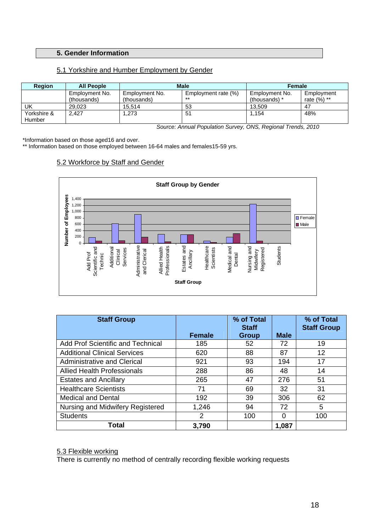#### **5. Gender Information**

#### 5.1 Yorkshire and Humber Employment by Gender

| <b>Region</b> | <b>All People</b> |                | <b>Male</b>         | <b>Female</b>  |               |
|---------------|-------------------|----------------|---------------------|----------------|---------------|
|               | Employment No.    | Employment No. | Employment rate (%) | Employment No. | Employment    |
|               | (thousands)       | (thousands)    | $***$               | (thousands) *  | rate $(%)$ ** |
| <b>UK</b>     | 29.023            | 15.514         | 53                  | 13.509         | -47           |
| Yorkshire &   | 2.427             | 1,273          | 51                  | 1.154          | 48%           |
| Humber        |                   |                |                     |                |               |

*Source: Annual Population Survey, ONS, Regional Trends, 2010*

\*Information based on those aged16 and over.

\*\* Information based on those employed between 16-64 males and females15-59 yrs.

### 5.2 Workforce by Staff and Gender



| <b>Staff Group</b>                       |               | % of Total<br><b>Staff</b> |             | % of Total<br><b>Staff Group</b> |
|------------------------------------------|---------------|----------------------------|-------------|----------------------------------|
|                                          | <b>Female</b> | Group                      | <b>Male</b> |                                  |
| <b>Add Prof Scientific and Technical</b> | 185           | 52                         | 72          | 19                               |
| <b>Additional Clinical Services</b>      | 620           | 88                         | 87          | 12                               |
| <b>Administrative and Clerical</b>       | 921           | 93                         | 194         | 17                               |
| <b>Allied Health Professionals</b>       | 288           | 86                         | 48          | 14                               |
| <b>Estates and Ancillary</b>             | 265           | 47                         | 276         | 51                               |
| <b>Healthcare Scientists</b>             | 71            | 69                         | 32          | 31                               |
| <b>Medical and Dental</b>                | 192           | 39                         | 306         | 62                               |
| Nursing and Midwifery Registered         | 1,246         | 94                         | 72          | 5                                |
| <b>Students</b>                          | 2             | 100                        | $\Omega$    | 100                              |
| Total                                    | 3,790         |                            | 1,087       |                                  |

# 5.3 Flexible working

There is currently no method of centrally recording flexible working requests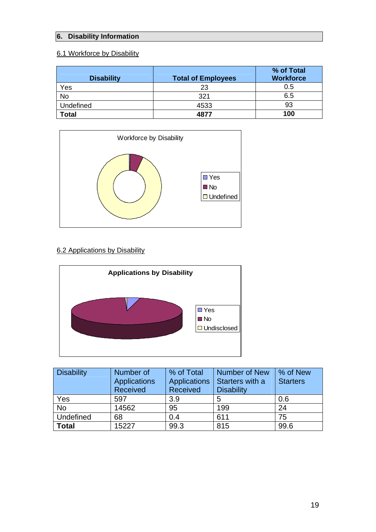# **6. Disability Information**

# 6.1 Workforce by Disability

| <b>Disability</b> | <b>Total of Employees</b> | % of Total<br><b>Workforce</b> |
|-------------------|---------------------------|--------------------------------|
| Yes               | 23                        | 0.5                            |
| No                | 321                       | 6.5                            |
| <b>Undefined</b>  | 4533                      | 93                             |
| Total             | 4877                      | 100                            |



## 6.2 Applications by Disability



| <b>Disability</b> | Number of<br><b>Applications</b><br>Received | % of Total<br>Applications<br>Received | <b>Number of New</b><br>Starters with a<br><b>Disability</b> | % of New<br><b>Starters</b> |
|-------------------|----------------------------------------------|----------------------------------------|--------------------------------------------------------------|-----------------------------|
| Yes               | 597                                          | 3.9                                    | 5                                                            | 0.6                         |
| <b>No</b>         | 14562                                        | 95                                     | 199                                                          | 24                          |
| Undefined         | 68                                           | 0.4                                    | 611                                                          | 75                          |
| <b>Total</b>      | 15227                                        | 99.3                                   | 815                                                          | 99.6                        |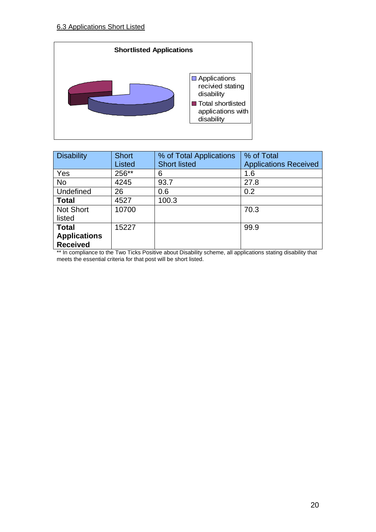

| <b>Disability</b>   | <b>Short</b> | % of Total Applications | % of Total                   |
|---------------------|--------------|-------------------------|------------------------------|
|                     | Listed       | <b>Short listed</b>     | <b>Applications Received</b> |
| Yes                 | 256**        | 6                       | 1.6                          |
| <b>No</b>           | 4245         | 93.7                    | 27.8                         |
| Undefined           | 26           | 0.6                     | 0.2                          |
| <b>Total</b>        | 4527         | 100.3                   |                              |
| <b>Not Short</b>    | 10700        |                         | 70.3                         |
| listed              |              |                         |                              |
| <b>Total</b>        | 15227        |                         | 99.9                         |
| <b>Applications</b> |              |                         |                              |
| <b>Received</b>     |              |                         |                              |

\*\* In compliance to the Two Ticks Positive about Disability scheme, all applications stating disability that meets the essential criteria for that post will be short listed.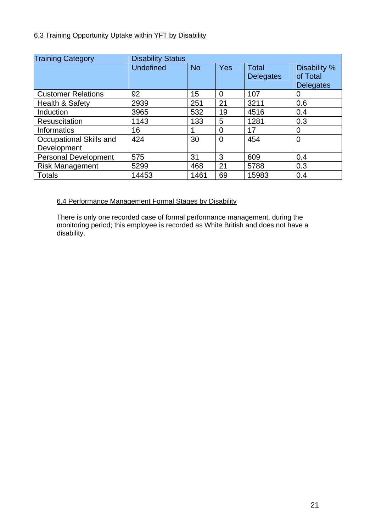# 6.3 Training Opportunity Uptake within YFT by Disability

| <b>Training Category</b>    | <b>Disability Status</b> |           |                |                                  |                                              |
|-----------------------------|--------------------------|-----------|----------------|----------------------------------|----------------------------------------------|
|                             | <b>Undefined</b>         | <b>No</b> | <b>Yes</b>     | <b>Total</b><br><b>Delegates</b> | Disability %<br>of Total<br><b>Delegates</b> |
| <b>Customer Relations</b>   | 92                       | 15        | $\Omega$       | 107                              | 0                                            |
| Health & Safety             | 2939                     | 251       | 21             | 3211                             | 0.6                                          |
| Induction                   | 3965                     | 532       | 19             | 4516                             | 0.4                                          |
| <b>Resuscitation</b>        | 1143                     | 133       | 5              | 1281                             | 0.3                                          |
| <b>Informatics</b>          | 16                       |           | $\overline{0}$ | 17                               | 0                                            |
| Occupational Skills and     | 424                      | 30        | $\Omega$       | 454                              | 0                                            |
| Development                 |                          |           |                |                                  |                                              |
| <b>Personal Development</b> | 575                      | 31        | 3              | 609                              | 0.4                                          |
| <b>Risk Management</b>      | 5299                     | 468       | 21             | 5788                             | 0.3                                          |
| <b>Totals</b>               | 14453                    | 1461      | 69             | 15983                            | 0.4                                          |

## 6.4 Performance Management Formal Stages by Disability

There is only one recorded case of formal performance management, during the monitoring period; this employee is recorded as White British and does not have a disability.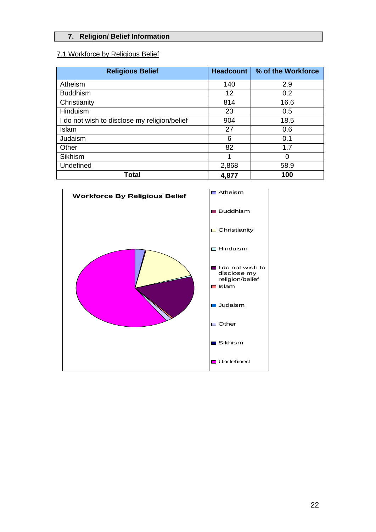# **7. Religion/ Belief Information**

## 7.1 Workforce by Religious Belief

| <b>Religious Belief</b>                      | <b>Headcount</b> | % of the Workforce |
|----------------------------------------------|------------------|--------------------|
| Atheism                                      | 140              | 2.9                |
| <b>Buddhism</b>                              | 12               | 0.2                |
| Christianity                                 | 814              | 16.6               |
| Hinduism                                     | 23               | 0.5                |
| I do not wish to disclose my religion/belief | 904              | 18.5               |
| Islam                                        | 27               | 0.6                |
| Judaism                                      | 6                | 0.1                |
| Other                                        | 82               | 1.7                |
| Sikhism                                      | 1                | 0                  |
| Undefined                                    | 2,868            | 58.9               |
| <b>Total</b>                                 | 4,877            | 100                |

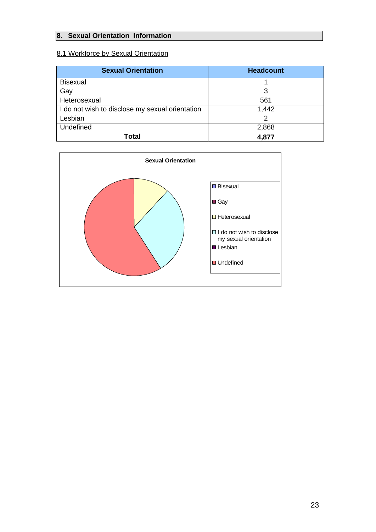## **8. Sexual Orientation Information**

# 8.1 Workforce by Sexual Orientation

| <b>Sexual Orientation</b>                       | <b>Headcount</b> |
|-------------------------------------------------|------------------|
| <b>Bisexual</b>                                 |                  |
| Gay                                             | 3                |
| Heterosexual                                    | 561              |
| I do not wish to disclose my sexual orientation | 1,442            |
| Lesbian                                         |                  |
| Undefined                                       | 2,868            |
| Total                                           | 4,877            |